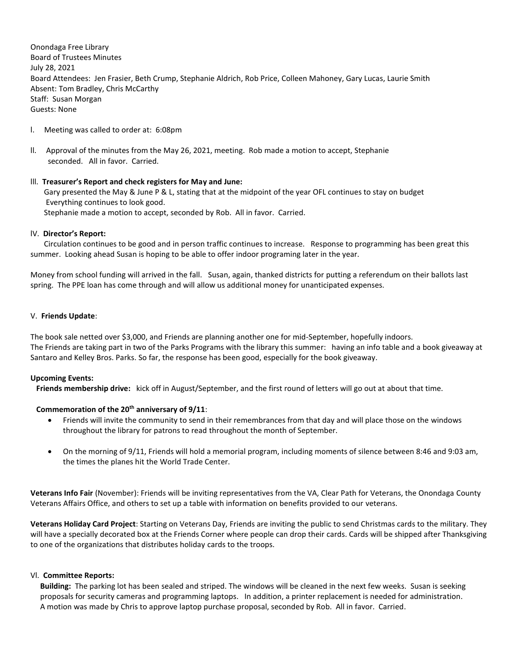Onondaga Free Library Board of Trustees Minutes July 28, 2021 Board Attendees: Jen Frasier, Beth Crump, Stephanie Aldrich, Rob Price, Colleen Mahoney, Gary Lucas, Laurie Smith Absent: Tom Bradley, Chris McCarthy Staff: Susan Morgan Guests: None

- l. Meeting was called to order at: 6:08pm
- ll. Approval of the minutes from the May 26, 2021, meeting. Rob made a motion to accept, Stephanie seconded. All in favor. Carried.

## lll. **Treasurer's Report and check registers for May and June:**

 Gary presented the May & June P & L, stating that at the midpoint of the year OFL continues to stay on budget Everything continues to look good. Stephanie made a motion to accept, seconded by Rob. All in favor. Carried.

## lV. **Director's Report:**

 Circulation continues to be good and in person traffic continues to increase. Response to programming has been great this summer. Looking ahead Susan is hoping to be able to offer indoor programing later in the year.

Money from school funding will arrived in the fall. Susan, again, thanked districts for putting a referendum on their ballots last spring. The PPE loan has come through and will allow us additional money for unanticipated expenses.

## V. **Friends Update**:

The book sale netted over \$3,000, and Friends are planning another one for mid-September, hopefully indoors. The Friends are taking part in two of the Parks Programs with the library this summer: having an info table and a book giveaway at Santaro and Kelley Bros. Parks. So far, the response has been good, especially for the book giveaway.

### **Upcoming Events:**

 **Friends membership drive:** kick off in August/September, and the first round of letters will go out at about that time.

# **Commemoration of the 20th anniversary of 9/11**:

- Friends will invite the community to send in their remembrances from that day and will place those on the windows throughout the library for patrons to read throughout the month of September.
- On the morning of 9/11, Friends will hold a memorial program, including moments of silence between 8:46 and 9:03 am, the times the planes hit the World Trade Center.

**Veterans Info Fair** (November): Friends will be inviting representatives from the VA, Clear Path for Veterans, the Onondaga County Veterans Affairs Office, and others to set up a table with information on benefits provided to our veterans.

**Veterans Holiday Card Project**: Starting on Veterans Day, Friends are inviting the public to send Christmas cards to the military. They will have a specially decorated box at the Friends Corner where people can drop their cards. Cards will be shipped after Thanksgiving to one of the organizations that distributes holiday cards to the troops.

### Vl. **Committee Reports:**

**Building:** The parking lot has been sealed and striped. The windows will be cleaned in the next few weeks. Susan is seeking proposals for security cameras and programming laptops. In addition, a printer replacement is needed for administration. A motion was made by Chris to approve laptop purchase proposal, seconded by Rob. All in favor. Carried.